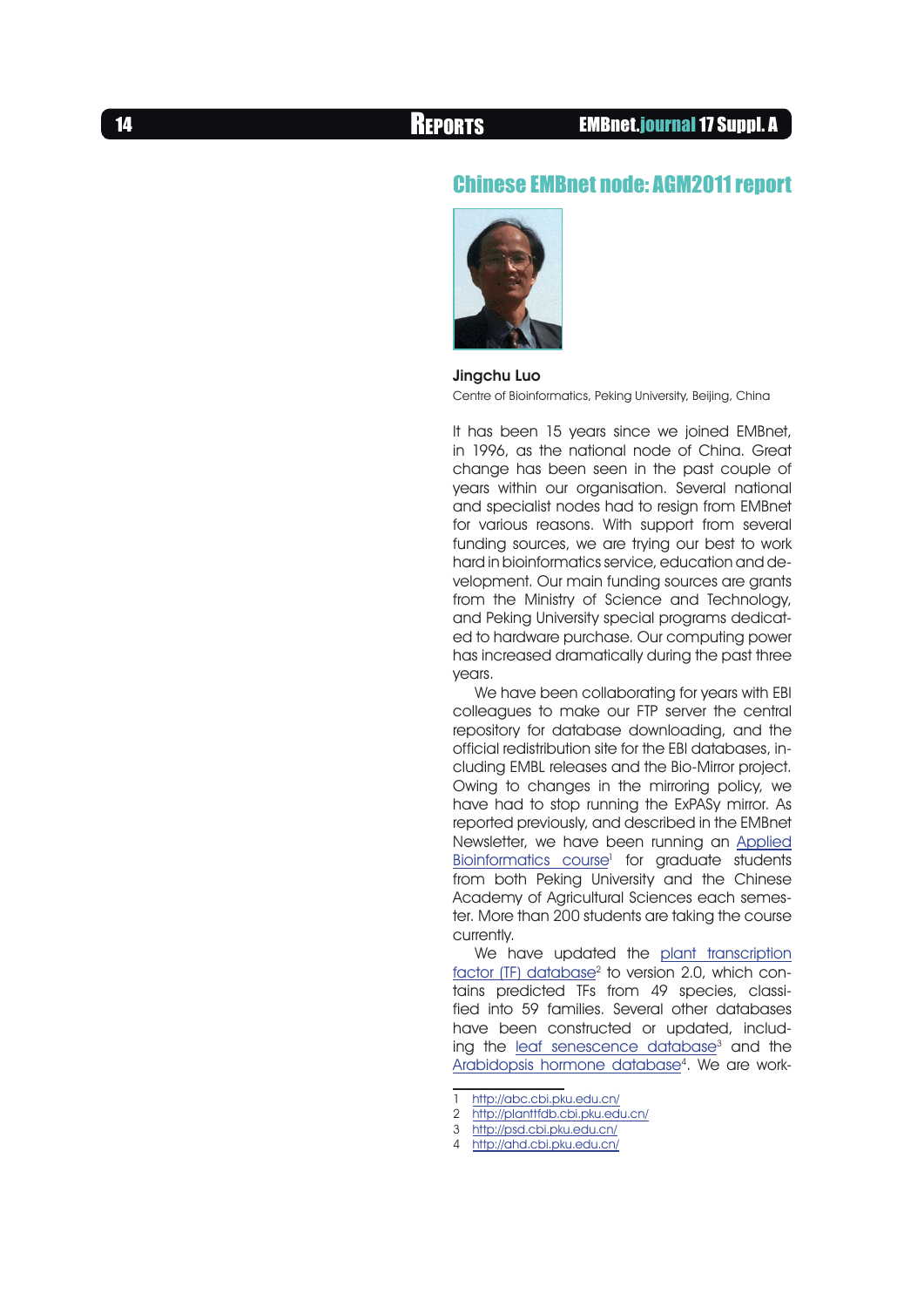## Chinese EMBnet node: AGM2011 report



## Jingchu Luo

Centre of Bioinformatics, Peking University, Beijing, China

It has been 15 years since we joined EMBnet, in 1996, as the national node of China. Great change has been seen in the past couple of years within our organisation. Several national and specialist nodes had to resign from EMBnet for various reasons. With support from several funding sources, we are trying our best to work hard in bioinformatics service, education and development. Our main funding sources are grants from the Ministry of Science and Technology, and Peking University special programs dedicated to hardware purchase. Our computing power has increased dramatically during the past three years.

We have been collaborating for years with EBI colleagues to make our FTP server the central repository for database downloading, and the official redistribution site for the EBI databases, including EMBL releases and the Bio-Mirror project. Owing to changes in the mirroring policy, we have had to stop running the ExPASy mirror. As reported previously, and described in the EMBnet Newsletter, we have been running an [Applied](http://abc.cbi.pku.edu.cn/) [Bioinformatics course](http://abc.cbi.pku.edu.cn/)<sup>1</sup> for graduate students from both Peking University and the Chinese Academy of Agricultural Sciences each semester. More than 200 students are taking the course currently.

We have updated the [plant transcription](http://planttfdb.cbi.pku.edu.cn/) [factor \(TF\) database](http://planttfdb.cbi.pku.edu.cn/)<sup>2</sup> to version 2.0, which contains predicted TFs from 49 species, classified into 59 families. Several other databases have been constructed or updated, including the <u>leaf senescence database</u><sup>3</sup> and the [Arabidopsis hormone database](http://ahd.cbi.pku.edu.cn/)4. We are work-

2 <http://planttfdb.cbi.pku.edu.cn/>

<sup>1</sup> <http://abc.cbi.pku.edu.cn/>

<sup>3</sup> <http://psd.cbi.pku.edu.cn/>

<sup>4</sup> <http://ahd.cbi.pku.edu.cn/>